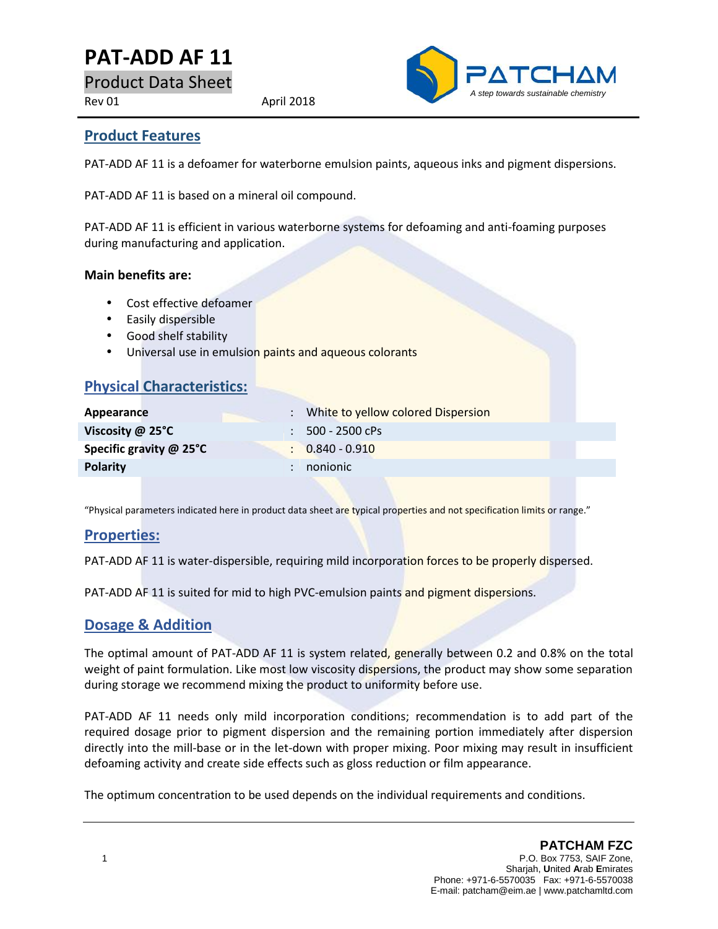# **PAT-ADD AF 11**

Product Data Sheet

Rev 01 April 2018



### **Product Features**

PAT-ADD AF 11 is a defoamer for waterborne emulsion paints, aqueous inks and pigment dispersions.

PAT-ADD AF 11 is based on a mineral oil compound.

PAT-ADD AF 11 is efficient in various waterborne systems for defoaming and anti-foaming purposes during manufacturing and application.

#### **Main benefits are:**

- Cost effective defoamer
- Easily dispersible
- Good shelf stability
- Universal use in emulsion paints and aqueous colorants

### **Physical Characteristics:**

| Appearance              | : White to yellow colored Dispersion |
|-------------------------|--------------------------------------|
| Viscosity $\omega$ 25°C | $: 500 - 2500$ cPs                   |
| Specific gravity @ 25°C | $\therefore$ 0.840 - 0.910           |
| <b>Polarity</b>         | nonionic                             |
|                         |                                      |

"Physical parameters indicated here in product data sheet are typical properties and not specification limits or range."

### **Properties:**

PAT-ADD AF 11 is water-dispersible, requiring mild incorporation forces to be properly dispersed.

PAT-ADD AF 11 is suited for mid to high PVC-emulsion paints and pigment dispersions.

### **Dosage & Addition**

The optimal amount of PAT-ADD AF 11 is system related, generally between 0.2 and 0.8% on the total weight of paint formulation. Like most low viscosity dispersions, the product may show some separation during storage we recommend mixing the product to uniformity before use.

PAT-ADD AF 11 needs only mild incorporation conditions; recommendation is to add part of the required dosage prior to pigment dispersion and the remaining portion immediately after dispersion directly into the mill-base or in the let-down with proper mixing. Poor mixing may result in insufficient defoaming activity and create side effects such as gloss reduction or film appearance.

The optimum concentration to be used depends on the individual requirements and conditions.